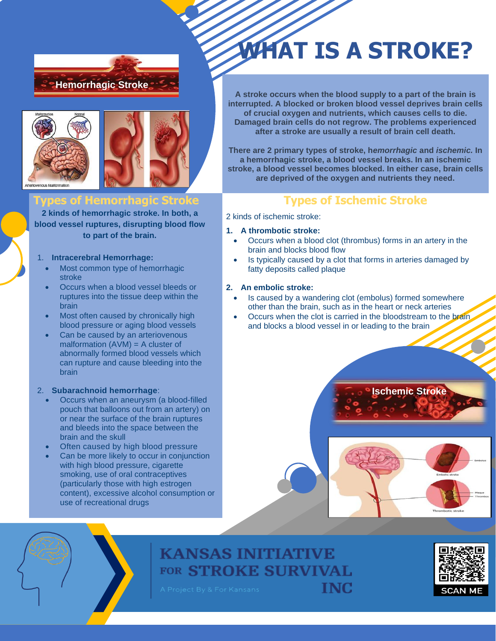



## **Types of Hemorrhagic Stroke**

**2 kinds of hemorrhagic stroke. In both, a blood vessel ruptures, disrupting blood flow to part of the brain.**

### 1. **Intracerebral Hemorrhage:**

- Most common type of hemorrhagic stroke
- Occurs when a blood vessel bleeds or ruptures into the tissue deep within the brain
- Most often caused by chronically high blood pressure or aging blood vessels
- Can be caused by an arteriovenous malformation (AVM) = A cluster of abnormally formed blood vessels which can rupture and cause bleeding into the brain

### 2. **Subarachnoid hemorrhage**:

- Occurs when an aneurysm (a blood-filled pouch that balloons out from an artery) on or near the surface of the brain ruptures and bleeds into the space between the brain and the skull
- Often caused by high blood pressure
- Can be more likely to occur in conjunction with high blood pressure, cigarette smoking, use of oral contraceptives (particularly those with high estrogen content), excessive alcohol consumption or use of recreational drugs

# **WHAT IS A STROKE?**

**A stroke occurs when the blood supply to a part of the brain is interrupted. A blocked or broken blood vessel deprives brain cells of crucial oxygen and nutrients, which causes cells to die. Damaged brain cells do not regrow. The problems experienced after a stroke are usually a result of brain cell death.** 

**There are 2 primary types of stroke, h***emorrhagic* **and** *ischemic.* **In a hemorrhagic stroke, a blood vessel breaks. In an ischemic stroke, a blood vessel becomes blocked. In either case, brain cells are deprived of the oxygen and nutrients they need.**

## **Types of Ischemic Stroke**

2 kinds of ischemic stroke:

#### **1. A thrombotic stroke:**

- Occurs when a blood clot (thrombus) forms in an artery in the brain and blocks blood flow
- Is typically caused by a clot that forms in arteries damaged by fatty deposits called plaque

#### **2. An embolic stroke:**

- Is caused by a wandering clot (embolus) formed somewhere other than the brain, such as in the heart or neck arteries
- Occurs when the clot is carried in the bloodstream to the brain. and blocks a blood vessel in or leading to the brain









**INC**